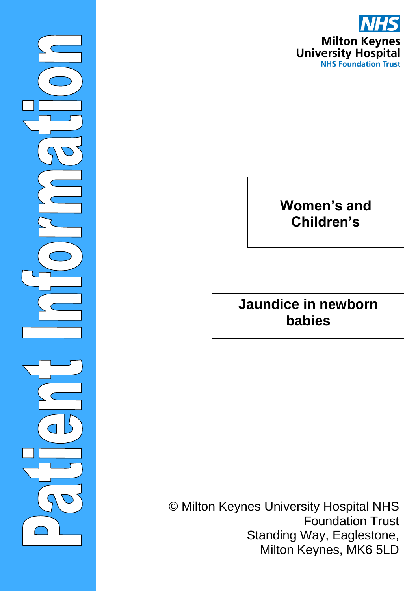

©Milto

 $\overline{\phantom{0}}$ 

### **Women's and Children's**

**Jaundice in newborn babies**

© Milton Keynes University Hospital NHS Foundation Trust Standing Way, Eaglestone, Milton Keynes, MK6 5LD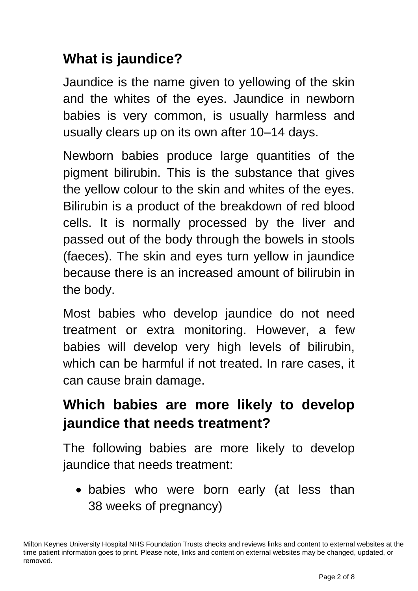# **What is jaundice?**

Jaundice is the name given to yellowing of the skin and the whites of the eyes. Jaundice in newborn babies is very common, is usually harmless and usually clears up on its own after 10–14 days.

Newborn babies produce large quantities of the pigment bilirubin. This is the substance that gives the yellow colour to the skin and whites of the eyes. Bilirubin is a product of the breakdown of red blood cells. It is normally processed by the liver and passed out of the body through the bowels in stools (faeces). The skin and eyes turn yellow in jaundice because there is an increased amount of bilirubin in the body.

Most babies who develop jaundice do not need treatment or extra monitoring. However, a few babies will develop very high levels of bilirubin, which can be harmful if not treated. In rare cases, it can cause brain damage.

# **Which babies are more likely to develop jaundice that needs treatment?**

The following babies are more likely to develop jaundice that needs treatment:

 babies who were born early (at less than 38 weeks of pregnancy)

Milton Keynes University Hospital NHS Foundation Trusts checks and reviews links and content to external websites at the time patient information goes to print. Please note, links and content on external websites may be changed, updated, or removed.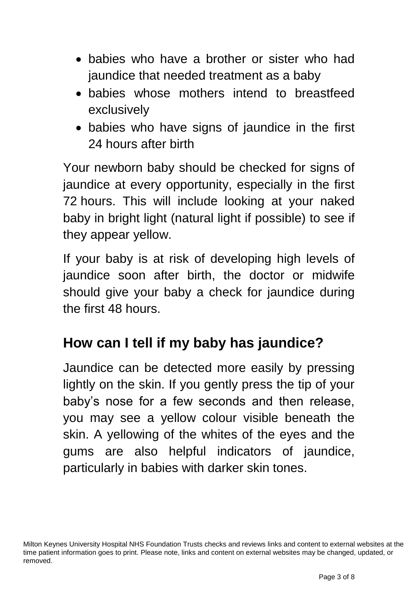- babies who have a brother or sister who had jaundice that needed treatment as a baby
- babies whose mothers intend to breastfeed exclusively
- babies who have signs of jaundice in the first 24 hours after birth

Your newborn baby should be checked for signs of jaundice at every opportunity, especially in the first 72 hours. This will include looking at your naked baby in bright light (natural light if possible) to see if they appear yellow.

If your baby is at risk of developing high levels of jaundice soon after birth, the doctor or midwife should give your baby a check for jaundice during the first 48 hours.

### **How can I tell if my baby has jaundice?**

Jaundice can be detected more easily by pressing lightly on the skin. If you gently press the tip of your baby's nose for a few seconds and then release, you may see a yellow colour visible beneath the skin. A yellowing of the whites of the eyes and the gums are also helpful indicators of jaundice, particularly in babies with darker skin tones.

Milton Keynes University Hospital NHS Foundation Trusts checks and reviews links and content to external websites at the time patient information goes to print. Please note, links and content on external websites may be changed, updated, or removed.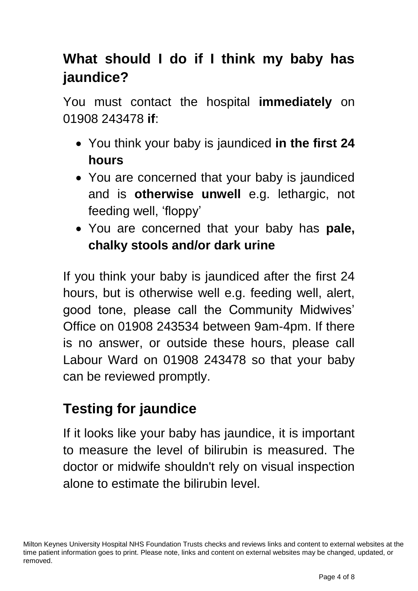# **What should I do if I think my baby has jaundice?**

You must contact the hospital **immediately** on 01908 243478 **if**:

- You think your baby is jaundiced **in the first 24 hours**
- You are concerned that your baby is jaundiced and is **otherwise unwell** e.g. lethargic, not feeding well, 'floppy'
- You are concerned that your baby has **pale, chalky stools and/or dark urine**

If you think your baby is jaundiced after the first 24 hours, but is otherwise well e.g. feeding well, alert, good tone, please call the Community Midwives' Office on 01908 243534 between 9am-4pm. If there is no answer, or outside these hours, please call Labour Ward on 01908 243478 so that your baby can be reviewed promptly.

# **Testing for jaundice**

If it looks like your baby has jaundice, it is important to measure the level of bilirubin is measured. The doctor or midwife shouldn't rely on visual inspection alone to estimate the bilirubin level.

Milton Keynes University Hospital NHS Foundation Trusts checks and reviews links and content to external websites at the time patient information goes to print. Please note, links and content on external websites may be changed, updated, or removed.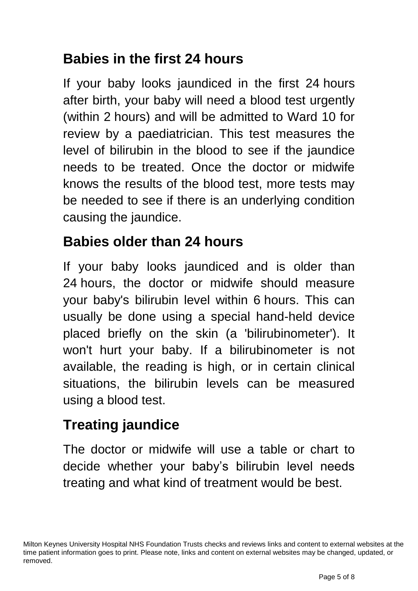### **Babies in the first 24 hours**

If your baby looks jaundiced in the first 24 hours after birth, your baby will need a blood test urgently (within 2 hours) and will be admitted to Ward 10 for review by a paediatrician. This test measures the level of bilirubin in the blood to see if the jaundice needs to be treated. Once the doctor or midwife knows the results of the blood test, more tests may be needed to see if there is an underlying condition causing the jaundice.

### **Babies older than 24 hours**

If your baby looks jaundiced and is older than 24 hours, the doctor or midwife should measure your baby's bilirubin level within 6 hours. This can usually be done using a special hand-held device placed briefly on the skin (a 'bilirubinometer'). It won't hurt your baby. If a bilirubinometer is not available, the reading is high, or in certain clinical situations, the bilirubin levels can be measured using a blood test.

# **Treating jaundice**

The doctor or midwife will use a table or chart to decide whether your baby's bilirubin level needs treating and what kind of treatment would be best.

Milton Keynes University Hospital NHS Foundation Trusts checks and reviews links and content to external websites at the time patient information goes to print. Please note, links and content on external websites may be changed, updated, or removed.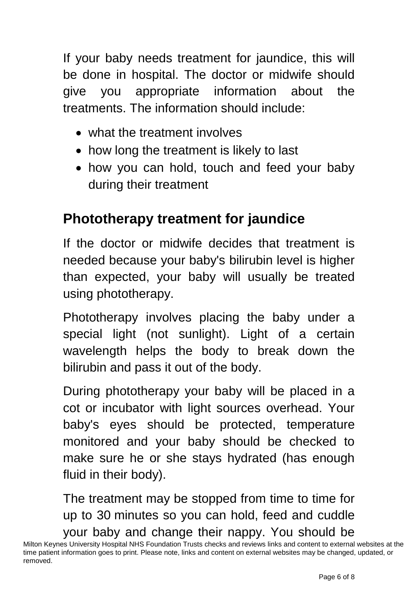If your baby needs treatment for jaundice, this will be done in hospital. The doctor or midwife should give you appropriate information about the treatments. The information should include:

- what the treatment involves
- how long the treatment is likely to last
- how you can hold, touch and feed your baby during their treatment

### **Phototherapy treatment for jaundice**

If the doctor or midwife decides that treatment is needed because your baby's bilirubin level is higher than expected, your baby will usually be treated using phototherapy.

Phototherapy involves placing the baby under a special light (not sunlight). Light of a certain wavelength helps the body to break down the bilirubin and pass it out of the body.

During phototherapy your baby will be placed in a cot or incubator with light sources overhead. Your baby's eyes should be protected, temperature monitored and your baby should be checked to make sure he or she stays hydrated (has enough fluid in their body).

The treatment may be stopped from time to time for up to 30 minutes so you can hold, feed and cuddle your baby and change their nappy. You should be

Milton Keynes University Hospital NHS Foundation Trusts checks and reviews links and content to external websites at the time patient information goes to print. Please note, links and content on external websites may be changed, updated, or removed.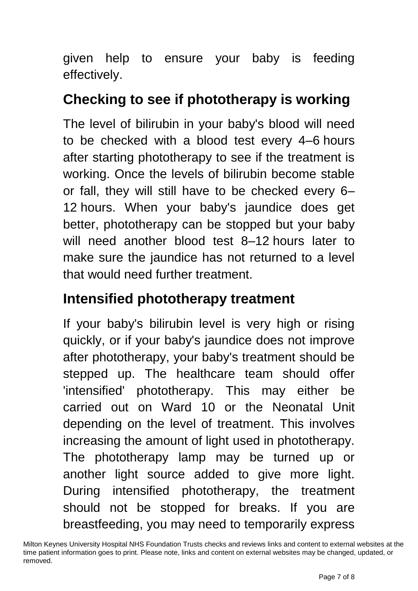given help to ensure your baby is feeding effectively.

### **Checking to see if phototherapy is working**

The level of bilirubin in your baby's blood will need to be checked with a blood test every 4–6 hours after starting phototherapy to see if the treatment is working. Once the levels of bilirubin become stable or fall, they will still have to be checked every 6– 12 hours. When your baby's jaundice does get better, phototherapy can be stopped but your baby will need another blood test 8–12 hours later to make sure the jaundice has not returned to a level that would need further treatment.

### **Intensified phototherapy treatment**

If your baby's bilirubin level is very high or rising quickly, or if your baby's jaundice does not improve after phototherapy, your baby's treatment should be stepped up. The healthcare team should offer 'intensified' phototherapy. This may either be carried out on Ward 10 or the Neonatal Unit depending on the level of treatment. This involves increasing the amount of light used in phototherapy. The phototherapy lamp may be turned up or another light source added to give more light. During intensified phototherapy, the treatment should not be stopped for breaks. If you are breastfeeding, you may need to temporarily express

Milton Keynes University Hospital NHS Foundation Trusts checks and reviews links and content to external websites at the time patient information goes to print. Please note, links and content on external websites may be changed, updated, or removed.